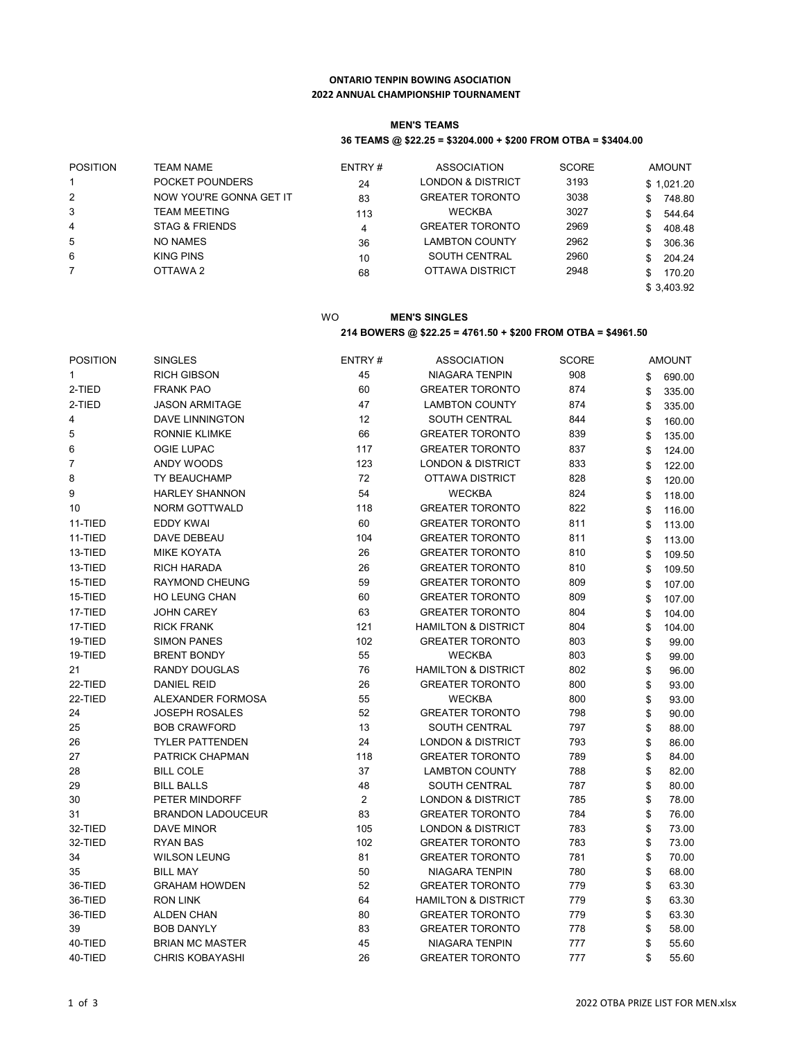## **ONTARIO TENPIN BOWING ASOCIATION 2022 ANNUAL CHAMPIONSHIP TOURNAMENT**

### **MEN'S TEAMS**

## **36 TEAMS @ \$22.25 = \$3204.000 + \$200 FROM OTBA = \$3404.00**

| <b>POSITION</b> | <b>TEAM NAME</b>          | ENTRY# | ASSOCIATION                  | <b>SCORE</b> | <b>AMOUNT</b> |
|-----------------|---------------------------|--------|------------------------------|--------------|---------------|
|                 | POCKET POUNDERS           | 24     | <b>LONDON &amp; DISTRICT</b> | 3193         | \$1,021.20    |
| 2               | NOW YOU'RE GONNA GET IT   | 83     | <b>GREATER TORONTO</b>       | 3038         | 748.80<br>\$. |
| 3               | TEAM MEETING              | 113    | <b>WECKBA</b>                | 3027         | 544.64<br>\$  |
| 4               | <b>STAG &amp; FRIENDS</b> | 4      | <b>GREATER TORONTO</b>       | 2969         | 408.48<br>\$. |
| 5               | NO NAMES                  | 36     | <b>LAMBTON COUNTY</b>        | 2962         | 306.36<br>\$. |
| 6               | <b>KING PINS</b>          | 10     | <b>SOUTH CENTRAL</b>         | 2960         | 204.24<br>\$  |
|                 | OTTAWA 2                  | 68     | OTTAWA DISTRICT              | 2948         | 170.20        |
|                 |                           |        |                              |              | \$3,403.92    |

## WO **MEN'S SINGLES 214 BOWERS @ \$22.25 = 4761.50 + \$200 FROM OTBA = \$4961.50**

| <b>POSITION</b> | <b>SINGLES</b>           | ENTRY#         | <b>ASSOCIATION</b>             | <b>SCORE</b> | <b>AMOUNT</b> |
|-----------------|--------------------------|----------------|--------------------------------|--------------|---------------|
| 1               | <b>RICH GIBSON</b>       | 45             | <b>NIAGARA TENPIN</b>          | 908          | \$<br>690.00  |
| 2-TIED          | <b>FRANK PAO</b>         | 60             | <b>GREATER TORONTO</b>         | 874          | \$<br>335.00  |
| 2-TIED          | <b>JASON ARMITAGE</b>    | 47             | <b>LAMBTON COUNTY</b>          | 874          | \$<br>335.00  |
| 4               | <b>DAVE LINNINGTON</b>   | 12             | SOUTH CENTRAL                  | 844          | \$<br>160.00  |
| 5               | <b>RONNIE KLIMKE</b>     | 66             | <b>GREATER TORONTO</b>         | 839          | \$<br>135.00  |
| 6               | <b>OGIE LUPAC</b>        | 117            | <b>GREATER TORONTO</b>         | 837          | \$<br>124.00  |
| $\overline{7}$  | ANDY WOODS               | 123            | <b>LONDON &amp; DISTRICT</b>   | 833          | \$<br>122.00  |
| 8               | TY BEAUCHAMP             | 72             | <b>OTTAWA DISTRICT</b>         | 828          | \$<br>120.00  |
| 9               | <b>HARLEY SHANNON</b>    | 54             | <b>WECKBA</b>                  | 824          | \$<br>118.00  |
| 10              | <b>NORM GOTTWALD</b>     | 118            | <b>GREATER TORONTO</b>         | 822          | \$<br>116.00  |
| 11-TIED         | <b>EDDY KWAI</b>         | 60             | <b>GREATER TORONTO</b>         | 811          | \$<br>113.00  |
| 11-TIED         | DAVE DEBEAU              | 104            | <b>GREATER TORONTO</b>         | 811          | \$<br>113.00  |
| 13-TIED         | MIKE KOYATA              | 26             | <b>GREATER TORONTO</b>         | 810          | \$<br>109.50  |
| 13-TIED         | <b>RICH HARADA</b>       | 26             | <b>GREATER TORONTO</b>         | 810          | \$<br>109.50  |
| 15-TIED         | <b>RAYMOND CHEUNG</b>    | 59             | <b>GREATER TORONTO</b>         | 809          | \$<br>107.00  |
| 15-TIED         | <b>HO LEUNG CHAN</b>     | 60             | <b>GREATER TORONTO</b>         | 809          | \$<br>107.00  |
| 17-TIED         | <b>JOHN CAREY</b>        | 63             | <b>GREATER TORONTO</b>         | 804          | \$<br>104.00  |
| 17-TIED         | <b>RICK FRANK</b>        | 121            | <b>HAMILTON &amp; DISTRICT</b> | 804          | \$<br>104.00  |
| 19-TIED         | <b>SIMON PANES</b>       | 102            | <b>GREATER TORONTO</b>         | 803          | \$<br>99.00   |
| 19-TIED         | <b>BRENT BONDY</b>       | 55             | <b>WECKBA</b>                  | 803          | \$<br>99.00   |
| 21              | <b>RANDY DOUGLAS</b>     | 76             | <b>HAMILTON &amp; DISTRICT</b> | 802          | \$<br>96.00   |
| 22-TIED         | <b>DANIEL REID</b>       | 26             | <b>GREATER TORONTO</b>         | 800          | \$<br>93.00   |
| 22-TIED         | ALEXANDER FORMOSA        | 55             | <b>WECKBA</b>                  | 800          | \$<br>93.00   |
| 24              | <b>JOSEPH ROSALES</b>    | 52             | <b>GREATER TORONTO</b>         | 798          | \$<br>90.00   |
| 25              | <b>BOB CRAWFORD</b>      | 13             | SOUTH CENTRAL                  | 797          | \$<br>88.00   |
| 26              | <b>TYLER PATTENDEN</b>   | 24             | <b>LONDON &amp; DISTRICT</b>   | 793          | \$<br>86.00   |
| 27              | PATRICK CHAPMAN          | 118            | <b>GREATER TORONTO</b>         | 789          | \$<br>84.00   |
| 28              | <b>BILL COLE</b>         | 37             | <b>LAMBTON COUNTY</b>          | 788          | \$<br>82.00   |
| 29              | <b>BILL BALLS</b>        | 48             | <b>SOUTH CENTRAL</b>           | 787          | 80.00         |
| 30              | PETER MINDORFF           | $\overline{2}$ | <b>LONDON &amp; DISTRICT</b>   | 785          | \$<br>78.00   |
| 31              | <b>BRANDON LADOUCEUR</b> | 83             | <b>GREATER TORONTO</b>         | 784          | \$<br>76.00   |
| 32-TIED         | DAVE MINOR               | 105            | <b>LONDON &amp; DISTRICT</b>   | 783          | \$<br>73.00   |
| 32-TIED         | <b>RYAN BAS</b>          | 102            | <b>GREATER TORONTO</b>         | 783          | \$<br>73.00   |
| 34              | <b>WILSON LEUNG</b>      | 81             | <b>GREATER TORONTO</b>         | 781          | \$<br>70.00   |
| 35              | <b>BILL MAY</b>          | 50             | NIAGARA TENPIN                 | 780          | \$<br>68.00   |
| 36-TIED         | <b>GRAHAM HOWDEN</b>     | 52             | <b>GREATER TORONTO</b>         | 779          | \$<br>63.30   |
| 36-TIED         | <b>RON LINK</b>          | 64             | <b>HAMILTON &amp; DISTRICT</b> | 779          | \$<br>63.30   |
| 36-TIED         | <b>ALDEN CHAN</b>        | 80             | <b>GREATER TORONTO</b>         | 779          | \$<br>63.30   |
| 39              | <b>BOB DANYLY</b>        | 83             | <b>GREATER TORONTO</b>         | 778          | \$<br>58.00   |
| 40-TIED         | <b>BRIAN MC MASTER</b>   | 45             | <b>NIAGARA TENPIN</b>          | 777          | \$<br>55.60   |
| 40-TIED         | <b>CHRIS KOBAYASHI</b>   | 26             | <b>GREATER TORONTO</b>         | 777          | \$<br>55.60   |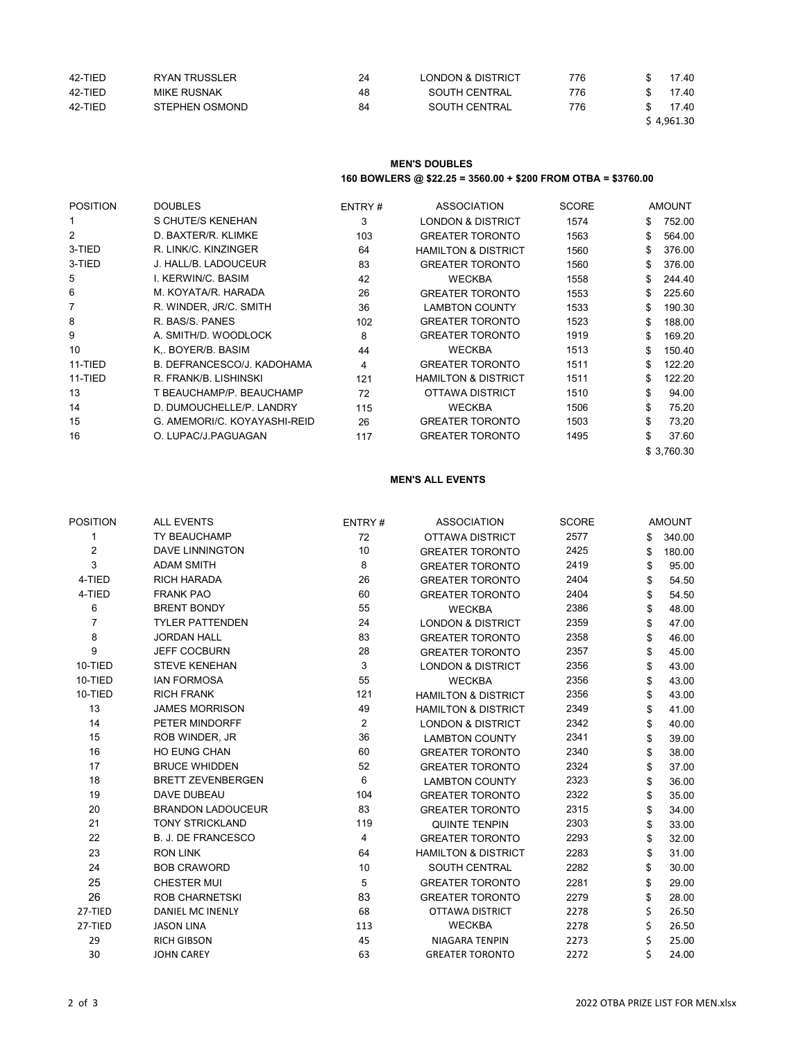| 42-TIED | RYAN TRUSSLER  | 24 | <b>LONDON &amp; DISTRICT</b> | 776 | 17.40      |
|---------|----------------|----|------------------------------|-----|------------|
| 42-TIED | MIKE RUSNAK    | 48 | SOUTH CENTRAL                | 776 | 17.40      |
| 42-TIED | STEPHEN OSMOND | 84 | SOUTH CENTRAL                | 776 | 17.40      |
|         |                |    |                              |     | \$4,961.30 |

## **MEN'S DOUBLES 160 BOWLERS @ \$22.25 = 3560.00 + \$200 FROM OTBA = \$3760.00**

| <b>POSITION</b> | <b>DOUBLES</b>               | ENTRY# | ASSOCIATION                    | <b>SCORE</b> |     | <b>AMOUNT</b> |
|-----------------|------------------------------|--------|--------------------------------|--------------|-----|---------------|
|                 | S CHUTE/S KENEHAN            | 3      | <b>LONDON &amp; DISTRICT</b>   | 1574         | \$  | 752.00        |
| $\overline{2}$  | D. BAXTER/R. KLIMKE          | 103    | <b>GREATER TORONTO</b>         | 1563         | \$  | 564.00        |
| 3-TIED          | R. LINK/C. KINZINGER         | 64     | <b>HAMILTON &amp; DISTRICT</b> | 1560         | \$  | 376.00        |
| 3-TIED          | J. HALL/B. LADOUCEUR         | 83     | <b>GREATER TORONTO</b>         | 1560         | \$  | 376.00        |
| 5               | I. KERWIN/C. BASIM           | 42     | <b>WECKBA</b>                  | 1558         | \$. | 244.40        |
| 6               | M. KOYATA/R. HARADA          | 26     | <b>GREATER TORONTO</b>         | 1553         | \$. | 225.60        |
| $\overline{7}$  | R. WINDER, JR/C. SMITH       | 36     | <b>LAMBTON COUNTY</b>          | 1533         | \$  | 190.30        |
| 8               | R. BAS/S. PANES              | 102    | <b>GREATER TORONTO</b>         | 1523         | \$  | 188.00        |
| 9               | A. SMITH/D. WOODLOCK         | 8      | <b>GREATER TORONTO</b>         | 1919         | \$  | 169.20        |
| 10              | K BOYER/B. BASIM             | 44     | <b>WECKBA</b>                  | 1513         | \$  | 150.40        |
| 11-TIED         | B. DEFRANCESCO/J. KADOHAMA   | 4      | <b>GREATER TORONTO</b>         | 1511         | \$  | 122.20        |
| 11-TIED         | R. FRANK/B. LISHINSKI        | 121    | <b>HAMILTON &amp; DISTRICT</b> | 1511         | \$  | 122.20        |
| 13              | T BEAUCHAMP/P. BEAUCHAMP     | 72     | OTTAWA DISTRICT                | 1510         | \$  | 94.00         |
| 14              | D. DUMOUCHELLE/P. LANDRY     | 115    | <b>WECKBA</b>                  | 1506         | \$  | 75.20         |
| 15              | G. AMEMORI/C. KOYAYASHI-REID | 26     | <b>GREATER TORONTO</b>         | 1503         | \$  | 73.20         |
| 16              | O. LUPAC/J.PAGUAGAN          | 117    | <b>GREATER TORONTO</b>         | 1495         | \$  | 37.60         |
|                 |                              |        |                                |              |     | \$3,760.30    |

### **MEN'S ALL EVENTS**

| POSITION       | <b>ALL EVENTS</b>         | ENTRY#         | <b>ASSOCIATION</b>             | <b>SCORE</b> | <b>AMOUNT</b> |
|----------------|---------------------------|----------------|--------------------------------|--------------|---------------|
| 1              | TY BEAUCHAMP              | 72             | <b>OTTAWA DISTRICT</b>         | 2577         | \$<br>340.00  |
| 2              | <b>DAVE LINNINGTON</b>    | 10             | <b>GREATER TORONTO</b>         | 2425         | \$<br>180.00  |
| 3              | <b>ADAM SMITH</b>         | 8              | <b>GREATER TORONTO</b>         | 2419         | \$<br>95.00   |
| 4-TIED         | <b>RICH HARADA</b>        | 26             | <b>GREATER TORONTO</b>         | 2404         | \$<br>54.50   |
| 4-TIED         | <b>FRANK PAO</b>          | 60             | <b>GREATER TORONTO</b>         | 2404         | \$<br>54.50   |
| 6              | <b>BRENT BONDY</b>        | 55             | <b>WECKBA</b>                  | 2386         | \$<br>48.00   |
| $\overline{7}$ | <b>TYLER PATTENDEN</b>    | 24             | <b>LONDON &amp; DISTRICT</b>   | 2359         | \$<br>47.00   |
| 8              | <b>JORDAN HALL</b>        | 83             | <b>GREATER TORONTO</b>         | 2358         | \$<br>46.00   |
| 9              | <b>JEFF COCBURN</b>       | 28             | <b>GREATER TORONTO</b>         | 2357         | \$<br>45.00   |
| 10-TIED        | <b>STEVE KENEHAN</b>      | 3              | <b>LONDON &amp; DISTRICT</b>   | 2356         | \$<br>43.00   |
| 10-TIED        | <b>IAN FORMOSA</b>        | 55             | <b>WECKBA</b>                  | 2356         | \$<br>43.00   |
| 10-TIED        | <b>RICH FRANK</b>         | 121            | <b>HAMILTON &amp; DISTRICT</b> | 2356         | \$<br>43.00   |
| 13             | <b>JAMES MORRISON</b>     | 49             | <b>HAMILTON &amp; DISTRICT</b> | 2349         | \$<br>41.00   |
| 14             | PETER MINDORFF            | $\overline{2}$ | <b>LONDON &amp; DISTRICT</b>   | 2342         | \$<br>40.00   |
| 15             | ROB WINDER, JR            | 36             | <b>LAMBTON COUNTY</b>          | 2341         | \$<br>39.00   |
| 16             | HO EUNG CHAN              | 60             | <b>GREATER TORONTO</b>         | 2340         | \$<br>38.00   |
| 17             | <b>BRUCE WHIDDEN</b>      | 52             | <b>GREATER TORONTO</b>         | 2324         | \$<br>37.00   |
| 18             | <b>BRETT ZEVENBERGEN</b>  | $6\phantom{1}$ | <b>LAMBTON COUNTY</b>          | 2323         | \$<br>36.00   |
| 19             | DAVE DUBEAU               | 104            | <b>GREATER TORONTO</b>         | 2322         | \$<br>35.00   |
| 20             | <b>BRANDON LADOUCEUR</b>  | 83             | <b>GREATER TORONTO</b>         | 2315         | \$<br>34.00   |
| 21             | <b>TONY STRICKLAND</b>    | 119            | <b>QUINTE TENPIN</b>           | 2303         | \$<br>33.00   |
| 22             | <b>B. J. DE FRANCESCO</b> | 4              | <b>GREATER TORONTO</b>         | 2293         | \$<br>32.00   |
| 23             | <b>RON LINK</b>           | 64             | <b>HAMILTON &amp; DISTRICT</b> | 2283         | \$<br>31.00   |
| 24             | <b>BOB CRAWORD</b>        | 10             | SOUTH CENTRAL                  | 2282         | \$<br>30.00   |
| 25             | <b>CHESTER MUI</b>        | 5              | <b>GREATER TORONTO</b>         | 2281         | \$<br>29.00   |
| 26             | <b>ROB CHARNETSKI</b>     | 83             | <b>GREATER TORONTO</b>         | 2279         | \$<br>28.00   |
| 27-TIED        | DANIEL MC INENLY          | 68             | <b>OTTAWA DISTRICT</b>         | 2278         | \$<br>26.50   |
| 27-TIED        | <b>JASON LINA</b>         | 113            | <b>WECKBA</b>                  | 2278         | \$<br>26.50   |
| 29             | <b>RICH GIBSON</b>        | 45             | NIAGARA TENPIN                 | 2273         | 25.00         |
| 30             | <b>JOHN CAREY</b>         | 63             | <b>GREATER TORONTO</b>         | 2272         | 24.00         |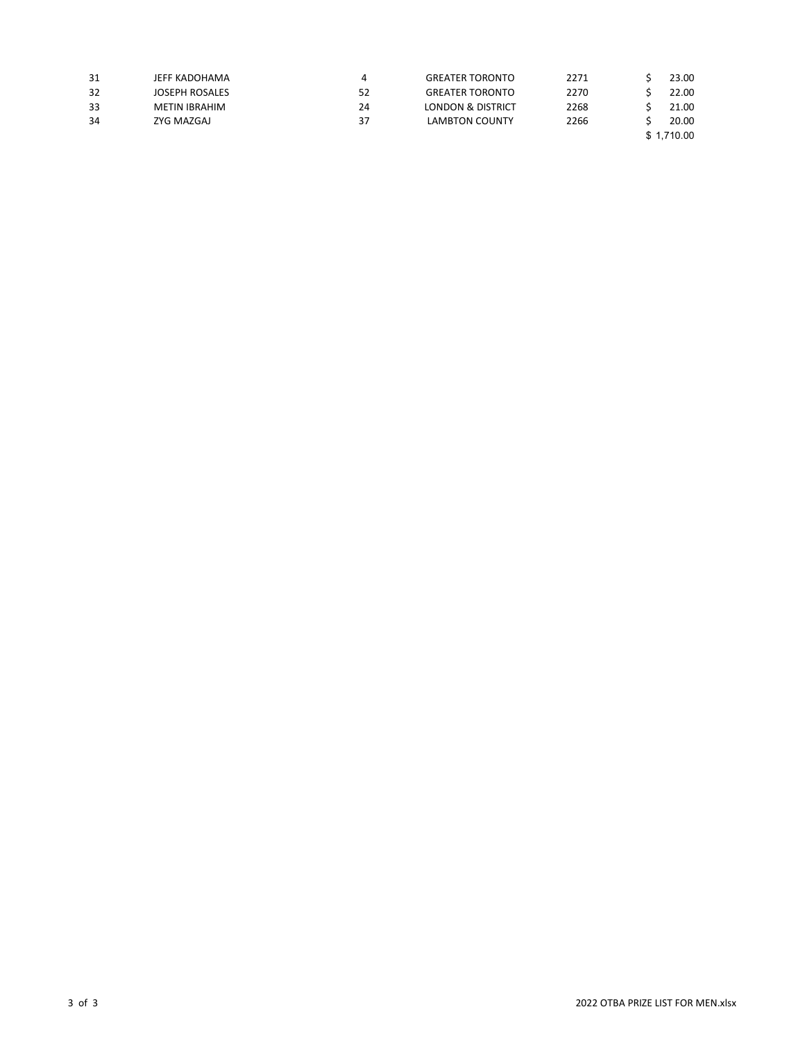| 31 | JEFF KADOHAMA  |    | <b>GREATER TORONTO</b> | 2271 | 23.00      |
|----|----------------|----|------------------------|------|------------|
| 32 | JOSEPH ROSALES | 52 | <b>GREATER TORONTO</b> | 2270 | 22.00      |
| 33 | METIN IBRAHIM  | 24 | LONDON & DISTRICT      | 2268 | 21.00      |
| 34 | ZYG MAZGAJ     | 37 | LAMBTON COUNTY         | 2266 | 20.00      |
|    |                |    |                        |      | \$1,710.00 |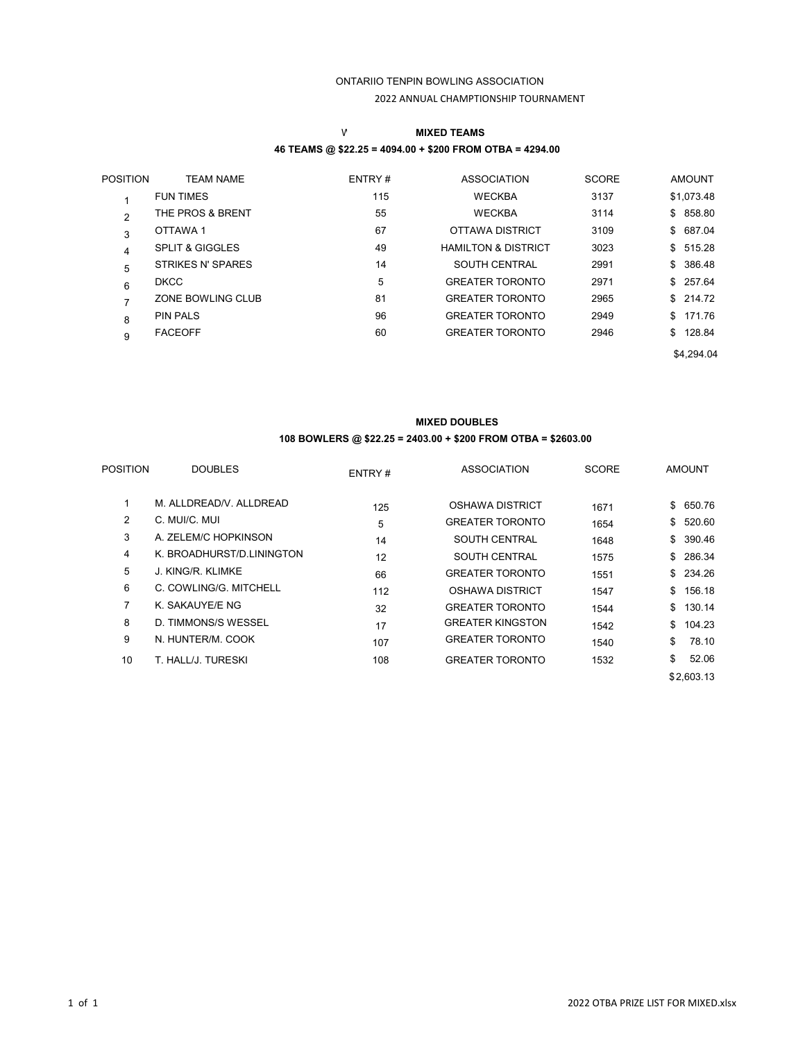# ONTARIIO TENPIN BOWLING ASSOCIATION 2022 ANNUAL CHAMPTIONSHIP TOURNAMENT

# W **MIXED TEAMS 46 TEAMS @ \$22.25 = 4094.00 + \$200 FROM OTBA = 4294.00**

| <b>POSITION</b> | <b>TEAM NAME</b>           | ENTRY# | <b>ASSOCIATION</b>             | <b>SCORE</b> | <b>AMOUNT</b> |
|-----------------|----------------------------|--------|--------------------------------|--------------|---------------|
|                 | <b>FUN TIMES</b>           | 115    | <b>WECKBA</b>                  | 3137         | \$1,073.48    |
| $\overline{2}$  | THE PROS & BRENT           | 55     | <b>WECKBA</b>                  | 3114         | \$858.80      |
| 3               | OTTAWA 1                   | 67     | <b>OTTAWA DISTRICT</b>         | 3109         | \$687.04      |
| 4               | <b>SPLIT &amp; GIGGLES</b> | 49     | <b>HAMILTON &amp; DISTRICT</b> | 3023         | \$515.28      |
| 5               | STRIKES N' SPARES          | 14     | <b>SOUTH CENTRAL</b>           | 2991         | \$386.48      |
| 6               | <b>DKCC</b>                | 5      | <b>GREATER TORONTO</b>         | 2971         | \$257.64      |
| 7               | ZONE BOWLING CLUB          | 81     | <b>GREATER TORONTO</b>         | 2965         | \$214.72      |
| 8               | <b>PIN PALS</b>            | 96     | <b>GREATER TORONTO</b>         | 2949         | \$171.76      |
| 9               | <b>FACEOFF</b>             | 60     | <b>GREATER TORONTO</b>         | 2946         | \$128.84      |
|                 |                            |        |                                |              | \$4,294.04    |
|                 |                            |        |                                |              |               |

# **MIXED DOUBLES 108 BOWLERS @ \$22.25 = 2403.00 + \$200 FROM OTBA = \$2603.00**

| <b>POSITION</b> | <b>DOUBLES</b>            | ENTRY# | <b>ASSOCIATION</b>      | <b>SCORE</b> | <b>AMOUNT</b> |
|-----------------|---------------------------|--------|-------------------------|--------------|---------------|
|                 | M. ALLDREAD/V. ALLDREAD   | 125    | <b>OSHAWA DISTRICT</b>  | 1671         | \$<br>650.76  |
| 2               | C. MUI/C. MUI             | 5      | <b>GREATER TORONTO</b>  | 1654         | \$<br>520.60  |
| 3               | A. ZELEM/C HOPKINSON      | 14     | <b>SOUTH CENTRAL</b>    | 1648         | \$390.46      |
| 4               | K. BROADHURST/D.LININGTON | 12     | <b>SOUTH CENTRAL</b>    | 1575         | 286.34<br>\$  |
| 5               | J. KING/R. KLIMKE         | 66     | <b>GREATER TORONTO</b>  | 1551         | \$234.26      |
| 6               | C. COWLING/G. MITCHELL    | 112    | <b>OSHAWA DISTRICT</b>  | 1547         | \$<br>156.18  |
| 7               | K. SAKAUYE/E NG           | 32     | <b>GREATER TORONTO</b>  | 1544         | \$130.14      |
| 8               | D. TIMMONS/S WESSEL       | 17     | <b>GREATER KINGSTON</b> | 1542         | \$<br>104.23  |
| 9               | N. HUNTER/M. COOK         | 107    | <b>GREATER TORONTO</b>  | 1540         | \$<br>78.10   |
| 10              | T. HALL/J. TURESKI        | 108    | <b>GREATER TORONTO</b>  | 1532         | \$<br>52.06   |
|                 |                           |        |                         |              | \$2,603.13    |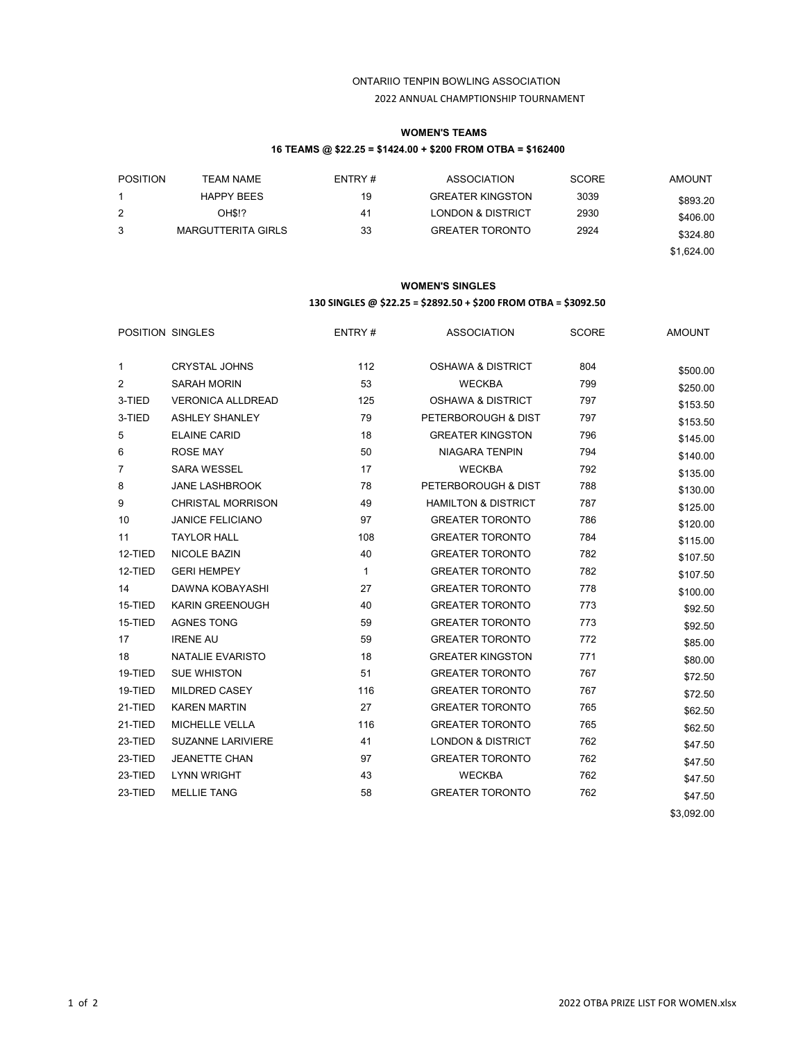## ONTARIIO TENPIN BOWLING ASSOCIATION 2022 ANNUAL CHAMPTIONSHIP TOURNAMENT

## **WOMEN'S TEAMS 16 TEAMS @ \$22.25 = \$1424.00 + \$200 FROM OTBA = \$162400**

| <b>POSITION</b> | TEAM NAME                 | ENTRY# | <b>ASSOCIATION</b>           | <b>SCORE</b> | <b>AMOUNT</b> |
|-----------------|---------------------------|--------|------------------------------|--------------|---------------|
|                 | <b>HAPPY BEES</b>         | 19     | <b>GREATER KINGSTON</b>      | 3039         | \$893.20      |
| 2               | OH\$!?                    | 41     | <b>LONDON &amp; DISTRICT</b> | 2930         | \$406.00      |
| 3               | <b>MARGUTTERITA GIRLS</b> | 33     | <b>GREATER TORONTO</b>       | 2924         | \$324.80      |
|                 |                           |        |                              |              | \$1,624.00    |

### **WOMEN'S SINGLES**

### **130 SINGLES @ \$22.25 = \$2892.50 + \$200 FROM OTBA = \$3092.50**

|                | POSITION SINGLES         | ENTRY #      | ASSOCIATION                    | <b>SCORE</b> | <b>AMOUNT</b> |
|----------------|--------------------------|--------------|--------------------------------|--------------|---------------|
| $\mathbf{1}$   | <b>CRYSTAL JOHNS</b>     | 112          | <b>OSHAWA &amp; DISTRICT</b>   | 804          | \$500.00      |
| $\overline{2}$ | <b>SARAH MORIN</b>       | 53           | <b>WECKBA</b>                  | 799          | \$250.00      |
| 3-TIED         | <b>VERONICA ALLDREAD</b> | 125          | <b>OSHAWA &amp; DISTRICT</b>   | 797          | \$153.50      |
| 3-TIED         | <b>ASHLEY SHANLEY</b>    | 79           | PETERBOROUGH & DIST            | 797          | \$153.50      |
| 5              | <b>ELAINE CARID</b>      | 18           | <b>GREATER KINGSTON</b>        | 796          | \$145.00      |
| 6              | <b>ROSE MAY</b>          | 50           | <b>NIAGARA TENPIN</b>          | 794          | \$140.00      |
| $\overline{7}$ | <b>SARA WESSEL</b>       | 17           | <b>WECKBA</b>                  | 792          | \$135.00      |
| 8              | <b>JANE LASHBROOK</b>    | 78           | PETERBOROUGH & DIST            | 788          | \$130.00      |
| 9              | <b>CHRISTAL MORRISON</b> | 49           | <b>HAMILTON &amp; DISTRICT</b> | 787          | \$125.00      |
| 10             | <b>JANICE FELICIANO</b>  | 97           | <b>GREATER TORONTO</b>         | 786          | \$120.00      |
| 11             | <b>TAYLOR HALL</b>       | 108          | <b>GREATER TORONTO</b>         | 784          | \$115.00      |
| 12-TIED        | NICOLE BAZIN             | 40           | <b>GREATER TORONTO</b>         | 782          | \$107.50      |
| 12-TIED        | <b>GERI HEMPEY</b>       | $\mathbf{1}$ | <b>GREATER TORONTO</b>         | 782          | \$107.50      |
| 14             | DAWNA KOBAYASHI          | 27           | <b>GREATER TORONTO</b>         | 778          | \$100.00      |
| 15-TIED        | <b>KARIN GREENOUGH</b>   | 40           | <b>GREATER TORONTO</b>         | 773          | \$92.50       |
| 15-TIED        | <b>AGNES TONG</b>        | 59           | <b>GREATER TORONTO</b>         | 773          | \$92.50       |
| 17             | <b>IRENE AU</b>          | 59           | <b>GREATER TORONTO</b>         | 772          | \$85.00       |
| 18             | NATALIE EVARISTO         | 18           | <b>GREATER KINGSTON</b>        | 771          | \$80.00       |
| 19-TIED        | <b>SUE WHISTON</b>       | 51           | <b>GREATER TORONTO</b>         | 767          | \$72.50       |
| 19-TIED        | MILDRED CASEY            | 116          | <b>GREATER TORONTO</b>         | 767          | \$72.50       |
| 21-TIED        | <b>KAREN MARTIN</b>      | 27           | <b>GREATER TORONTO</b>         | 765          | \$62.50       |
| 21-TIED        | MICHELLE VELLA           | 116          | <b>GREATER TORONTO</b>         | 765          | \$62.50       |
| 23-TIED        | <b>SUZANNE LARIVIERE</b> | 41           | <b>LONDON &amp; DISTRICT</b>   | 762          | \$47.50       |
| 23-TIED        | <b>JEANETTE CHAN</b>     | 97           | <b>GREATER TORONTO</b>         | 762          | \$47.50       |
| 23-TIED        | <b>LYNN WRIGHT</b>       | 43           | <b>WECKBA</b>                  | 762          | \$47.50       |
| 23-TIED        | <b>MELLIE TANG</b>       | 58           | <b>GREATER TORONTO</b>         | 762          | \$47.50       |
|                |                          |              |                                |              | \$3,092.00    |